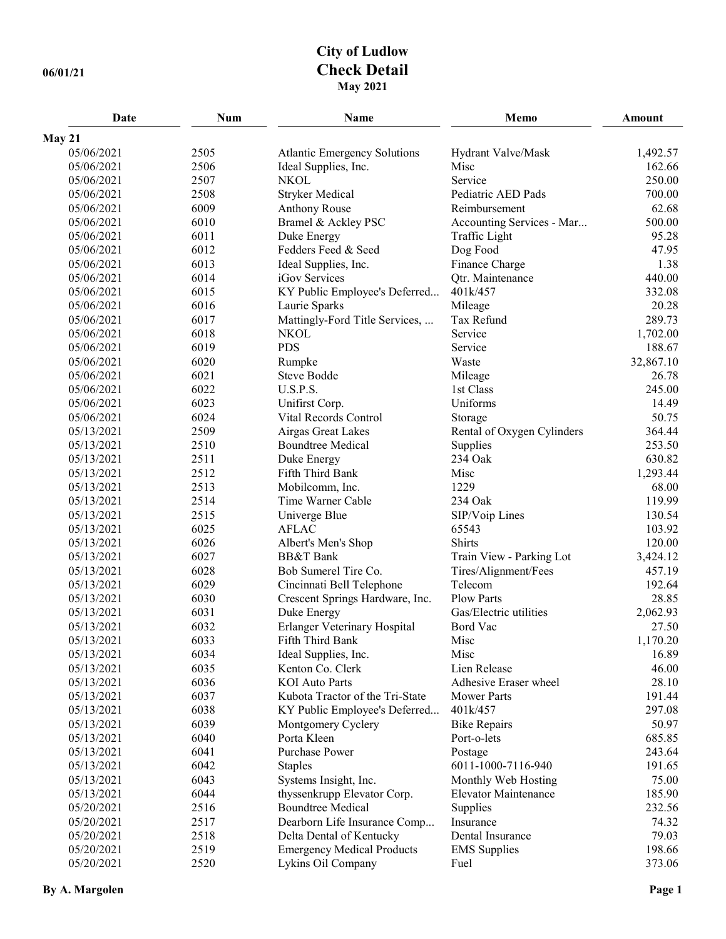## **City of Ludlow 06/01/21 Check Detail May 2021**

| Date                     | <b>Num</b>   | Name                                     | Memo                         | Amount            |
|--------------------------|--------------|------------------------------------------|------------------------------|-------------------|
| May 21                   |              |                                          |                              |                   |
| 05/06/2021               | 2505         | <b>Atlantic Emergency Solutions</b>      | Hydrant Valve/Mask           | 1,492.57          |
| 05/06/2021               | 2506         | Ideal Supplies, Inc.                     | Misc                         | 162.66            |
| 05/06/2021               | 2507         | <b>NKOL</b>                              | Service                      | 250.00            |
| 05/06/2021               | 2508         | <b>Stryker Medical</b>                   | Pediatric AED Pads           | 700.00            |
| 05/06/2021               | 6009         | <b>Anthony Rouse</b>                     | Reimbursement                | 62.68             |
| 05/06/2021               | 6010         | Bramel & Ackley PSC                      | Accounting Services - Mar    | 500.00            |
| 05/06/2021               | 6011         | Duke Energy                              | Traffic Light                | 95.28             |
| 05/06/2021               | 6012         | Fedders Feed & Seed                      | Dog Food                     | 47.95             |
| 05/06/2021               | 6013         | Ideal Supplies, Inc.                     | Finance Charge               | 1.38              |
| 05/06/2021               | 6014         | iGov Services                            | Qtr. Maintenance             | 440.00            |
| 05/06/2021               | 6015         | KY Public Employee's Deferred            | 401k/457                     | 332.08            |
| 05/06/2021               | 6016         | Laurie Sparks                            | Mileage                      | 20.28             |
| 05/06/2021               | 6017         | Mattingly-Ford Title Services,           | Tax Refund                   | 289.73            |
| 05/06/2021               | 6018         | <b>NKOL</b>                              | Service                      | 1,702.00          |
| 05/06/2021               | 6019         | <b>PDS</b>                               | Service                      | 188.67            |
| 05/06/2021               | 6020         | Rumpke                                   | Waste                        | 32,867.10         |
| 05/06/2021               | 6021         | <b>Steve Bodde</b>                       | Mileage                      | 26.78             |
| 05/06/2021               | 6022         | U.S.P.S.                                 | 1st Class                    | 245.00            |
| 05/06/2021               | 6023         | Unifirst Corp.                           | Uniforms                     | 14.49             |
| 05/06/2021               | 6024         | Vital Records Control                    | Storage                      | 50.75             |
| 05/13/2021               | 2509         | Airgas Great Lakes                       | Rental of Oxygen Cylinders   | 364.44            |
| 05/13/2021               | 2510         | <b>Boundtree Medical</b>                 | Supplies                     | 253.50            |
| 05/13/2021               | 2511         | Duke Energy                              | 234 Oak                      | 630.82            |
| 05/13/2021               | 2512         | Fifth Third Bank                         | Misc                         | 1,293.44          |
| 05/13/2021               | 2513         | Mobilcomm, Inc.                          | 1229                         | 68.00             |
| 05/13/2021               | 2514         | Time Warner Cable                        | 234 Oak                      | 119.99            |
| 05/13/2021               | 2515         | Univerge Blue                            | SIP/Voip Lines               | 130.54            |
| 05/13/2021               | 6025         | <b>AFLAC</b>                             | 65543                        | 103.92            |
| 05/13/2021               | 6026         | Albert's Men's Shop                      | Shirts                       | 120.00            |
| 05/13/2021               | 6027         | <b>BB&amp;T</b> Bank                     | Train View - Parking Lot     | 3,424.12          |
| 05/13/2021               | 6028         | Bob Sumerel Tire Co.                     | Tires/Alignment/Fees         | 457.19            |
| 05/13/2021               | 6029         | Cincinnati Bell Telephone                | Telecom<br><b>Plow Parts</b> | 192.64            |
| 05/13/2021               | 6030         | Crescent Springs Hardware, Inc.          |                              | 28.85             |
| 05/13/2021               | 6031         | Duke Energy                              | Gas/Electric utilities       | 2,062.93          |
| 05/13/2021               | 6032<br>6033 | Erlanger Veterinary Hospital             | Bord Vac<br>Misc             | 27.50             |
| 05/13/2021<br>05/13/2021 | 6034         | Fifth Third Bank<br>Ideal Supplies, Inc. | Misc                         | 1,170.20<br>16.89 |
| 05/13/2021               | 6035         | Kenton Co. Clerk                         | Lien Release                 | 46.00             |
| 05/13/2021               | 6036         | <b>KOI</b> Auto Parts                    | Adhesive Eraser wheel        | 28.10             |
| 05/13/2021               | 6037         | Kubota Tractor of the Tri-State          | <b>Mower Parts</b>           | 191.44            |
| 05/13/2021               | 6038         | KY Public Employee's Deferred            | 401k/457                     | 297.08            |
| 05/13/2021               | 6039         | Montgomery Cyclery                       | <b>Bike Repairs</b>          | 50.97             |
| 05/13/2021               | 6040         | Porta Kleen                              | Port-o-lets                  | 685.85            |
| 05/13/2021               | 6041         | <b>Purchase Power</b>                    | Postage                      | 243.64            |
| 05/13/2021               | 6042         | <b>Staples</b>                           | 6011-1000-7116-940           | 191.65            |
| 05/13/2021               | 6043         | Systems Insight, Inc.                    | Monthly Web Hosting          | 75.00             |
| 05/13/2021               | 6044         | thyssenkrupp Elevator Corp.              | <b>Elevator Maintenance</b>  | 185.90            |
| 05/20/2021               | 2516         | <b>Boundtree Medical</b>                 | Supplies                     | 232.56            |
| 05/20/2021               | 2517         | Dearborn Life Insurance Comp             | Insurance                    | 74.32             |
| 05/20/2021               | 2518         | Delta Dental of Kentucky                 | Dental Insurance             | 79.03             |
| 05/20/2021               | 2519         | <b>Emergency Medical Products</b>        | <b>EMS</b> Supplies          | 198.66            |
| 05/20/2021               | 2520         | Lykins Oil Company                       | Fuel                         | 373.06            |
|                          |              |                                          |                              |                   |